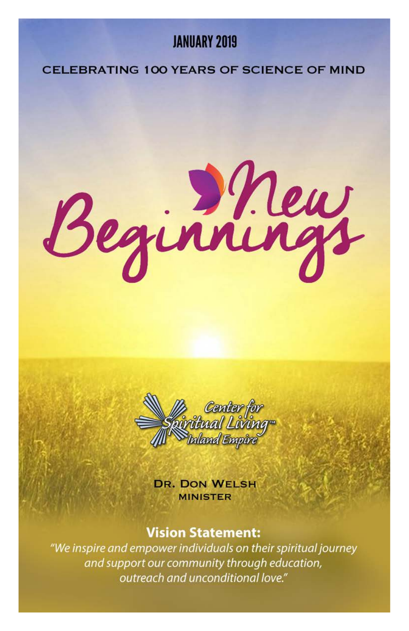### **JANIJARY 2019**

#### CELEBRATING 100 YEARS OF SCIENCE OF MIND

Beginnings



**DR. DON WELSH MINISTER** 

#### **Vision Statement:**

"We inspire and empower individuals on their spiritual journey and support our community through education, outreach and unconditional love."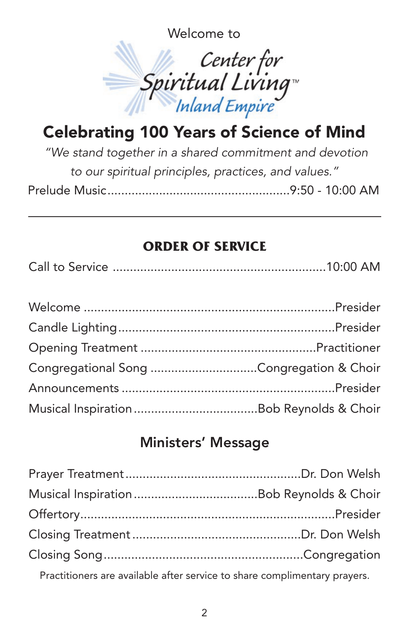Welcome to



## Celebrating 100 Years of Science of Mind

*"We stand together in a shared commitment and devotion to our spiritual principles, practices, and values."* Prelude Music.....................................................9:50 - 10:00 AM

### **ORDER OF SERVICE**

|--|--|--|--|

| Congregational Song Congregation & Choir |  |
|------------------------------------------|--|
|                                          |  |
|                                          |  |

### Ministers' Message

Practitioners are available after service to share complimentary prayers.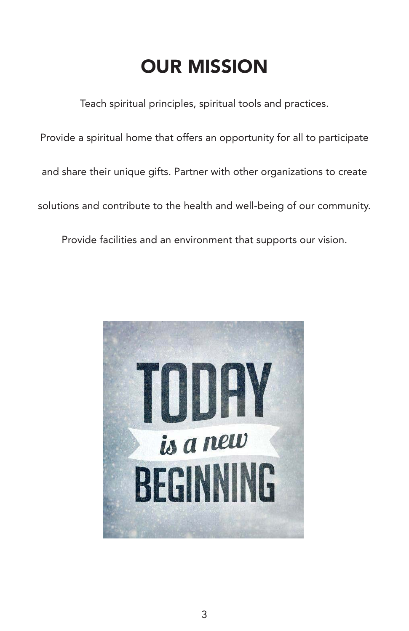## OUR MISSION

Teach spiritual principles, spiritual tools and practices.

Provide a spiritual home that offers an opportunity for all to participate

and share their unique gifts. Partner with other organizations to create

solutions and contribute to the health and well-being of our community.

Provide facilities and an environment that supports our vision.

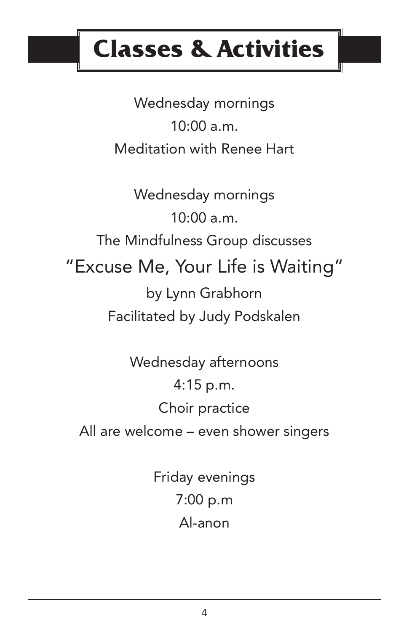# **Classes & Activities**

Wednesday mornings  $10:00 a.m.$ Meditation with Renee Hart

Wednesday mornings  $10:00$  a.m. The Mindfulness Group discusses "Excuse Me, Your Life is Waiting" by Lynn Grabhorn Facilitated by Judy Podskalen

Wednesday afternoons 4:15 p.m. Choir practice All are welcome – even shower singers

> Friday evenings 7:00 p.m Al-anon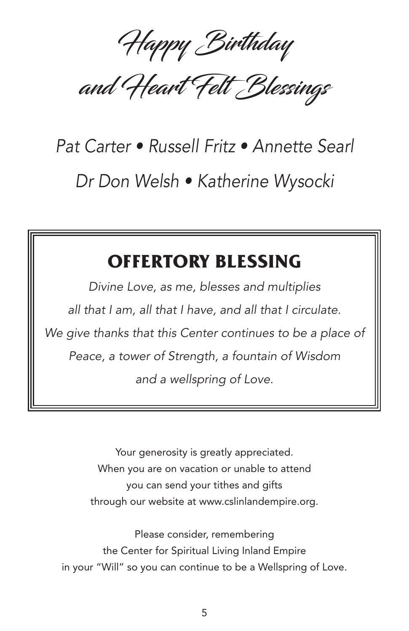Happy Birthday

and Heart Felt Blessings

# *Pat Carter • Russell Fritz • Annette Searl Dr Don Welsh • Katherine Wysocki*

### **OFFERTORY BLESSING**

*Divine Love, as me, blesses and multiplies all that I am, all that I have, and all that I circulate. We give thanks that this Center continues to be a place of Peace, a tower of Strength, a fountain of Wisdom and a wellspring of Love.*

> Your generosity is greatly appreciated. When you are on vacation or unable to attend you can send your tithes and gifts through our website at www.cslinlandempire.org.

Please consider, remembering the Center for Spiritual Living Inland Empire in your "Will" so you can continue to be a Wellspring of Love.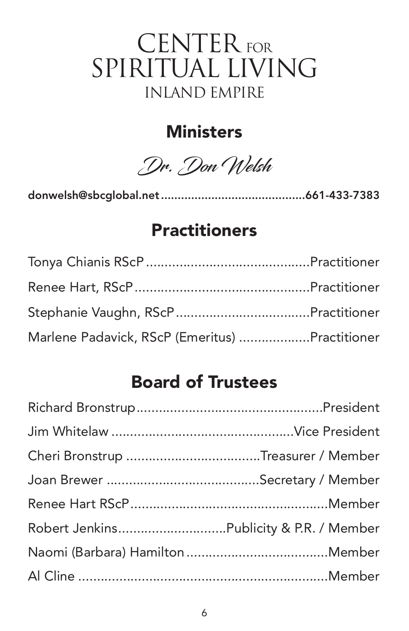## CENTER FOR SPIRITUAL LIVING INLAND EMPIRE

### **Ministers**

Dr. Don Welsh

donwelsh@sbcglobal.net...........................................661-433-7383

### **Practitioners**

| Marlene Padavick, RScP (Emeritus) Practitioner |  |
|------------------------------------------------|--|

### Board of Trustees

| Cheri Bronstrup Treasurer / Member |  |
|------------------------------------|--|
|                                    |  |
|                                    |  |
|                                    |  |
|                                    |  |
|                                    |  |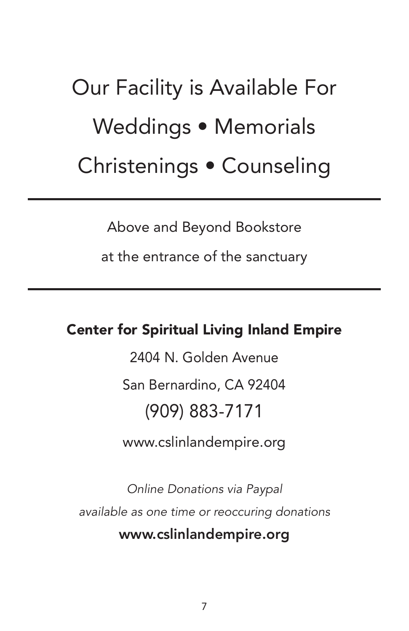Our Facility is Available For Weddings • Memorials Christenings • Counseling

Above and Beyond Bookstore

at the entrance of the sanctuary

### Center for Spiritual Living Inland Empire

2404 N. Golden Avenue San Bernardino, CA 92404 (909) 883-7171

www.cslinlandempire.org

*Online Donations via Paypal available as one time or reoccuring donations* www.cslinlandempire.org